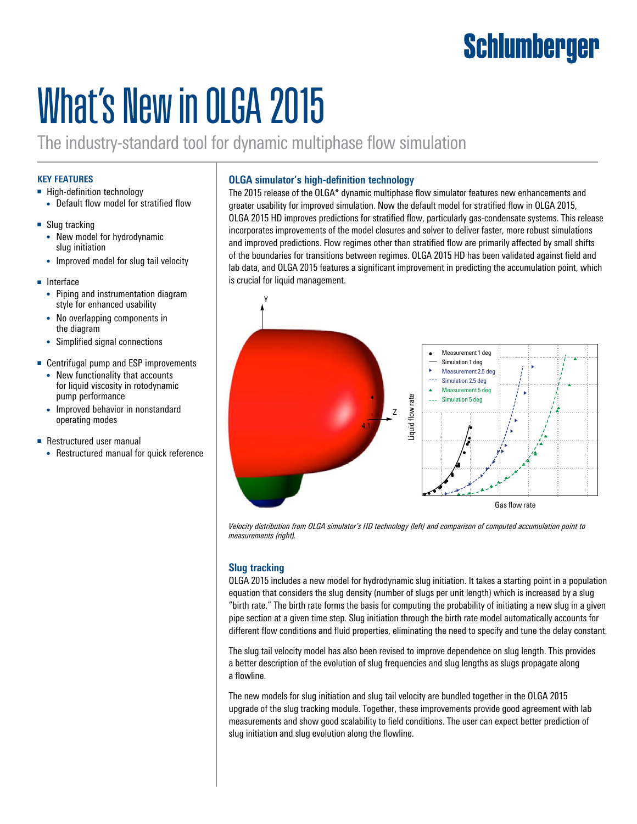# Schlumberger

# What's New in OLGA 2015

The industry-standard tool for dynamic multiphase flow simulation

## **KEY FEATURES**

- High-definition technology
	- Default flow model for stratified flow
- Slug tracking
	- New model for hydrodynamic slug initiation
	- Improved model for slug tail velocity
- Interface
	- Piping and instrumentation diagram style for enhanced usability
	- No overlapping components in the diagram
	- Simplified signal connections
- Centrifugal pump and ESP improvements
	- New functionality that accounts for liquid viscosity in rotodynamic pump performance
	- Improved behavior in nonstandard operating modes
- Restructured user manual
	- Restructured manual for quick reference

# **OLGA simulator's high-definition technology**

The 2015 release of the OLGA\* dynamic multiphase flow simulator features new enhancements and greater usability for improved simulation. Now the default model for stratified flow in OLGA 2015, OLGA 2015 HD improves predictions for stratified flow, particularly gas-condensate systems. This release incorporates improvements of the model closures and solver to deliver faster, more robust simulations and improved predictions. Flow regimes other than stratified flow are primarily affected by small shifts of the boundaries for transitions between regimes. OLGA 2015 HD has been validated against field and lab data, and OLGA 2015 features a significant improvement in predicting the accumulation point, which is crucial for liquid management.



*Velocity distribution from OLGA simulator's HD technology (left) and comparison of computed accumulation point to measurements (right).* 

# **Slug tracking**

OLGA 2015 includes a new model for hydrodynamic slug initiation. It takes a starting point in a population equation that considers the slug density (number of slugs per unit length) which is increased by a slug "birth rate." The birth rate forms the basis for computing the probability of initiating a new slug in a given pipe section at a given time step. Slug initiation through the birth rate model automatically accounts for different flow conditions and fluid properties, eliminating the need to specify and tune the delay constant.

The slug tail velocity model has also been revised to improve dependence on slug length. This provides a better description of the evolution of slug frequencies and slug lengths as slugs propagate along a flowline.

The new models for slug initiation and slug tail velocity are bundled together in the OLGA 2015 upgrade of the slug tracking module. Together, these improvements provide good agreement with lab measurements and show good scalability to field conditions. The user can expect better prediction of slug initiation and slug evolution along the flowline.